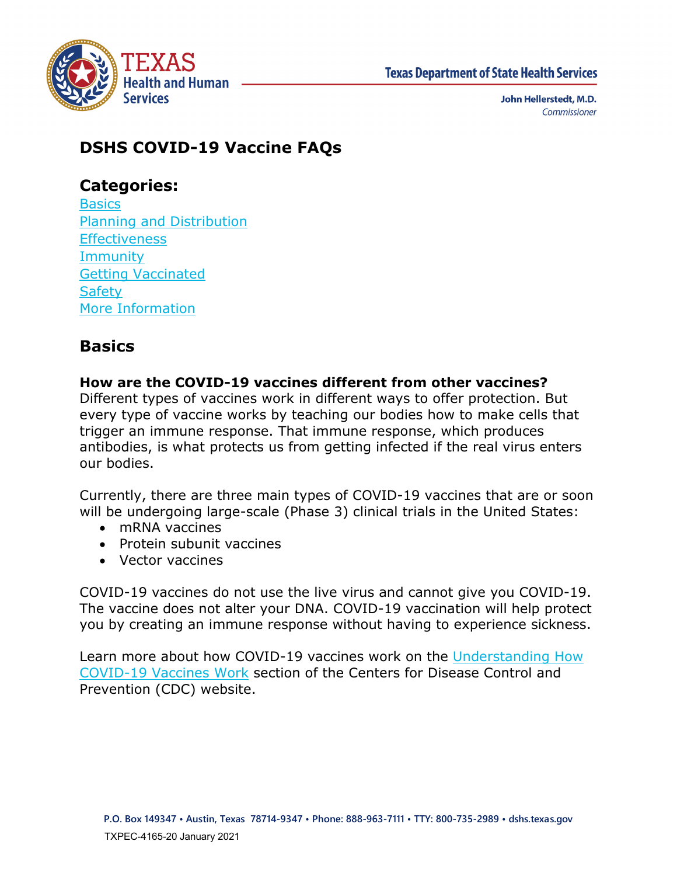

# **DSHS COVID-19 Vaccine FAQs**

## **Categories:**

**Basics** [Planning and Distribution](#page-1-0) **[Effectiveness](#page-7-0) [Immunity](#page-8-0)** [Getting Vaccinated](#page-8-1) **[Safety](#page-11-0)** [More Information](#page-12-0) 

# <span id="page-0-0"></span>**Basics**

## **How are the COVID-19 vaccines different from other vaccines?**

Different types of vaccines work in different ways to offer protection. But every type of vaccine works by teaching our bodies how to make cells that trigger an immune response. That immune response, which produces antibodies, is what protects us from getting infected if the real virus enters our bodies.

Currently, there are three main types of COVID-19 vaccines that are or soon will be undergoing large-scale (Phase 3) clinical trials in the United States:

- mRNA vaccines
- Protein subunit vaccines
- Vector vaccines

COVID-19 vaccines do not use the live virus and cannot give you COVID-19. The vaccine does not alter your DNA. COVID-19 vaccination will help protect you by creating an immune response without having to experience sickness.

Learn more about how COVID-19 vaccines work on the [Understanding How](https://www.cdc.gov/coronavirus/2019-ncov/vaccines/different-vaccines/how-they-work.html)  [COVID-19 Vaccines Work](https://www.cdc.gov/coronavirus/2019-ncov/vaccines/different-vaccines/how-they-work.html) section of the Centers for Disease Control and Prevention (CDC) website.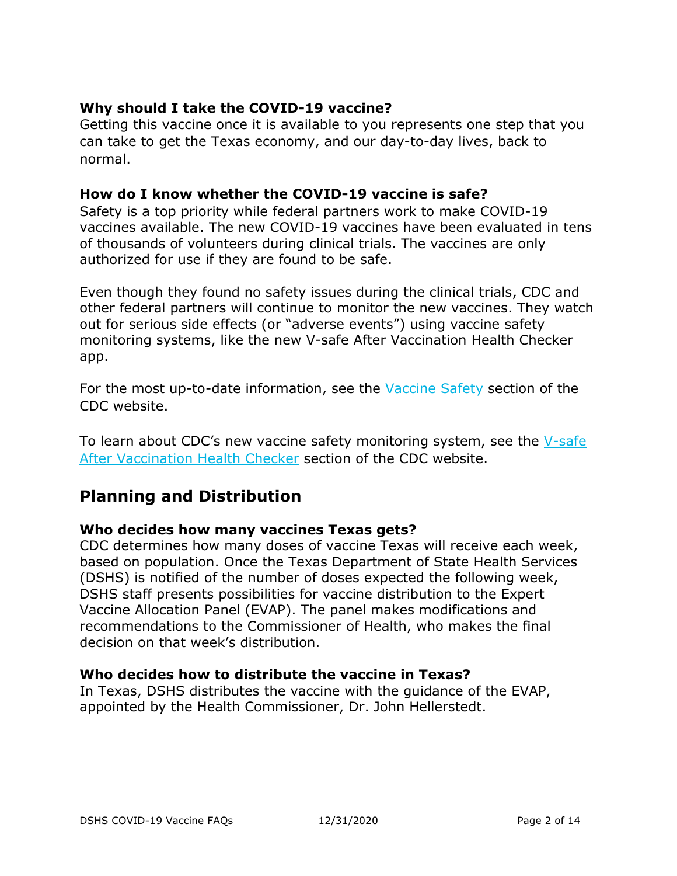## **Why should I take the COVID-19 vaccine?**

Getting this vaccine once it is available to you represents one step that you can take to get the Texas economy, and our day-to-day lives, back to normal.

#### **How do I know whether the COVID-19 vaccine is safe?**

Safety is a top priority while federal partners work to make COVID-19 vaccines available. The new COVID-19 vaccines have been evaluated in tens of thousands of volunteers during clinical trials. The vaccines are only authorized for use if they are found to be safe.

Even though they found no safety issues during the clinical trials, CDC and other federal partners will continue to monitor the new vaccines. They watch out for serious side effects (or "adverse events") using vaccine safety monitoring systems, like the new V-safe After Vaccination Health Checker app.

For the most up-to-date information, see the [Vaccine Safety](https://www.cdc.gov/coronavirus/2019-ncov/vaccines/safety.html) section of the CDC website.

To learn about CDC's new vaccine safety monitoring system, see the [V-safe](https://www.cdc.gov/coronavirus/2019-ncov/vaccines/safety/vsafe.html)  [After Vaccination Health Checker](https://www.cdc.gov/coronavirus/2019-ncov/vaccines/safety/vsafe.html) section of the CDC website.

## <span id="page-1-0"></span>**Planning and Distribution**

#### **Who decides how many vaccines Texas gets?**

CDC determines how many doses of vaccine Texas will receive each week, based on population. Once the Texas Department of State Health Services (DSHS) is notified of the number of doses expected the following week, DSHS staff presents possibilities for vaccine distribution to the Expert Vaccine Allocation Panel (EVAP). The panel makes modifications and recommendations to the Commissioner of Health, who makes the final decision on that week's distribution.

#### **Who decides how to distribute the vaccine in Texas?**

In Texas, DSHS distributes the vaccine with the guidance of the EVAP, appointed by the Health Commissioner, Dr. John Hellerstedt.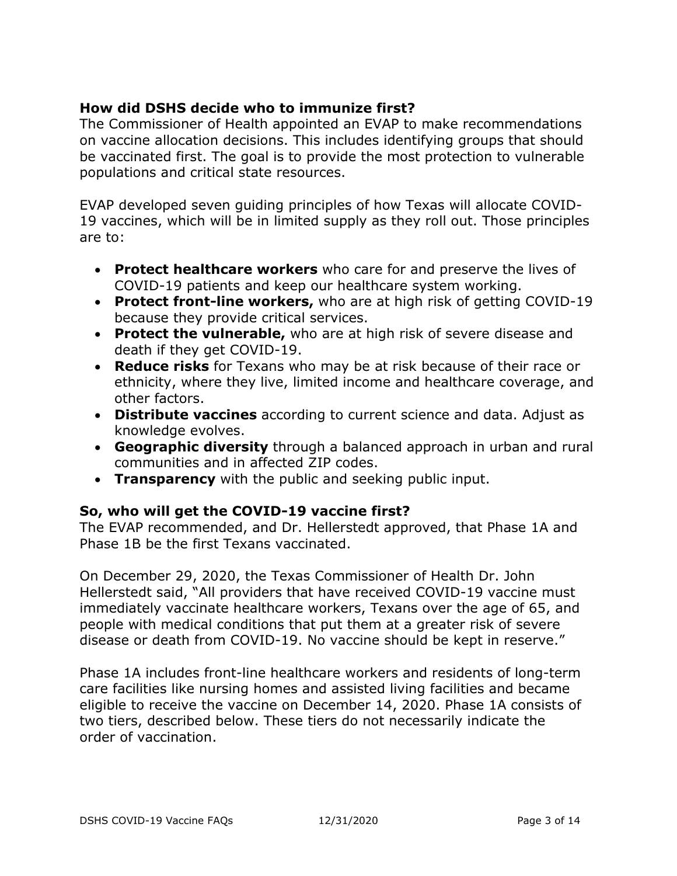## **How did DSHS decide who to immunize first?**

The Commissioner of Health appointed an EVAP to make recommendations on vaccine allocation decisions. This includes identifying groups that should be vaccinated first. The goal is to provide the most protection to vulnerable populations and critical state resources.

EVAP developed seven guiding principles of how Texas will allocate COVID-19 vaccines, which will be in limited supply as they roll out. Those principles are to:

- **Protect healthcare workers** who care for and preserve the lives of COVID-19 patients and keep our healthcare system working.
- **Protect front-line workers,** who are at high risk of getting COVID-19 because they provide critical services.
- **Protect the vulnerable,** who are at high risk of severe disease and death if they get COVID-19.
- **Reduce risks** for Texans who may be at risk because of their race or ethnicity, where they live, limited income and healthcare coverage, and other factors.
- **Distribute vaccines** according to current science and data. Adjust as knowledge evolves.
- **Geographic diversity** through a balanced approach in urban and rural communities and in affected ZIP codes.
- **Transparency** with the public and seeking public input.

## **So, who will get the COVID-19 vaccine first?**

The EVAP recommended, and Dr. Hellerstedt approved, that Phase 1A and Phase 1B be the first Texans vaccinated.

On December 29, 2020, the Texas Commissioner of Health Dr. John Hellerstedt said, "All providers that have received COVID-19 vaccine must immediately vaccinate healthcare workers, Texans over the age of 65, and people with medical conditions that put them at a greater risk of severe disease or death from COVID-19. No vaccine should be kept in reserve."

Phase 1A includes front-line healthcare workers and residents of long-term care facilities like nursing homes and assisted living facilities and became eligible to receive the vaccine on December 14, 2020. Phase 1A consists of two tiers, described below. These tiers do not necessarily indicate the order of vaccination.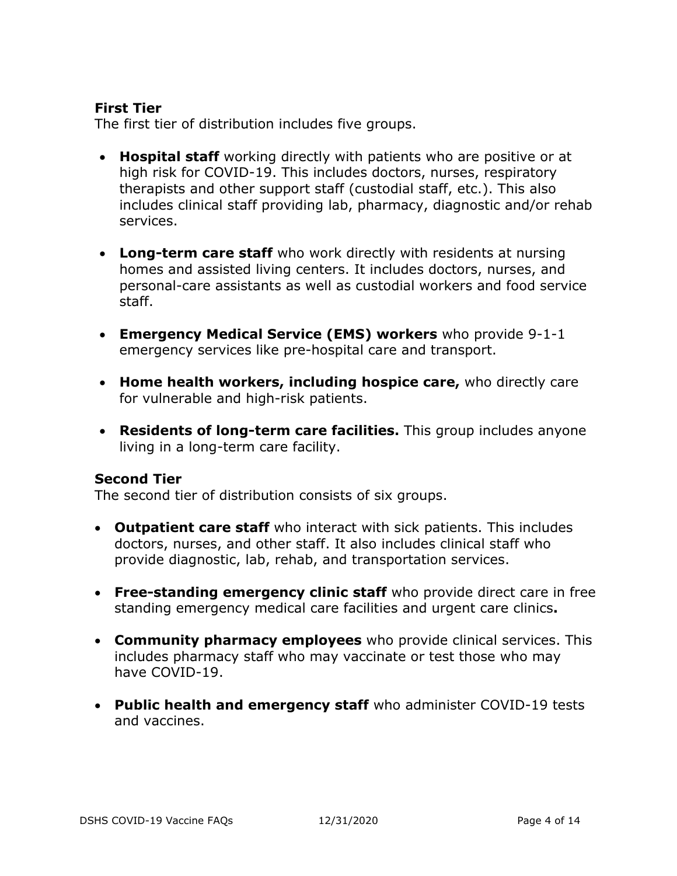### **First Tier**

The first tier of distribution includes five groups.

- **Hospital staff** working directly with patients who are positive or at high risk for COVID-19. This includes doctors, nurses, respiratory therapists and other support staff (custodial staff, etc.). This also includes clinical staff providing lab, pharmacy, diagnostic and/or rehab services.
- **Long-term care staff** who work directly with residents at nursing homes and assisted living centers. It includes doctors, nurses, and personal-care assistants as well as custodial workers and food service staff.
- **Emergency Medical Service (EMS) workers** who provide 9-1-1 emergency services like pre-hospital care and transport.
- **Home health workers, including hospice care,** who directly care for vulnerable and high-risk patients.
- **Residents of long-term care facilities.** This group includes anyone living in a long-term care facility.

#### **Second Tier**

The second tier of distribution consists of six groups.

- **Outpatient care staff** who interact with sick patients. This includes doctors, nurses, and other staff. It also includes clinical staff who provide diagnostic, lab, rehab, and transportation services.
- **Free-standing emergency clinic staff** who provide direct care in free standing emergency medical care facilities and urgent care clinics**.**
- **Community pharmacy employees** who provide clinical services. This includes pharmacy staff who may vaccinate or test those who may have COVID-19.
- **Public health and emergency staff** who administer COVID-19 tests and vaccines.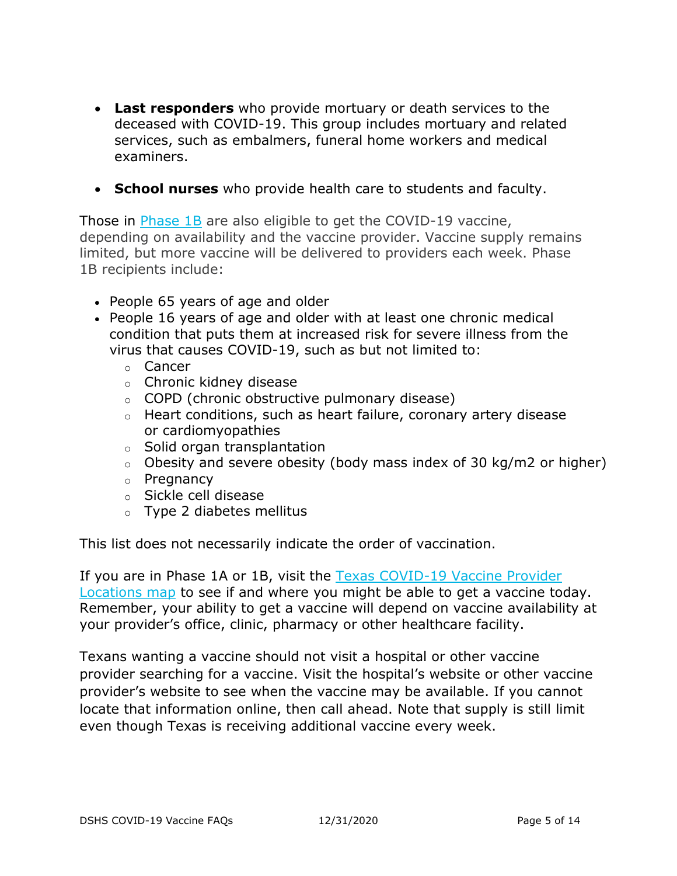- **Last responders** who provide mortuary or death services to the deceased with COVID-19. This group includes mortuary and related services, such as embalmers, funeral home workers and medical examiners.
- **School nurses** who provide health care to students and faculty.

Those in [Phase](https://www.dshs.texas.gov/coronavirus/immunize/vaccine/EVAP-Phase1B.pdf) 1B are also eligible to get the COVID-19 vaccine, depending on availability and the vaccine provider. Vaccine supply remains limited, but more vaccine will be delivered to providers each week. Phase 1B recipients include:

- People 65 years of age and older
- People 16 years of age and older with at least one chronic medical condition that puts them at increased risk for severe illness from the virus that causes COVID-19, such as but not limited to:
	- o Cancer
	- o Chronic kidney disease
	- o COPD (chronic obstructive pulmonary disease)
	- o Heart conditions, such as heart failure, coronary artery disease or cardiomyopathies
	- o Solid organ transplantation
	- $\circ$  Obesity and severe obesity (body mass index of 30 kg/m2 or higher)
	- o Pregnancy
	- o Sickle cell disease
	- o Type 2 diabetes mellitus

This list does not necessarily indicate the order of vaccination.

If you are in Phase 1A or 1B, visit the Texas [COVID-19](https://txdshs.maps.arcgis.com/apps/webappviewer/index.html?id=91ac7fb5e5fd47e7ada4acfe4a05920a) Vaccine Provider [Locations](https://txdshs.maps.arcgis.com/apps/webappviewer/index.html?id=91ac7fb5e5fd47e7ada4acfe4a05920a) map to see if and where you might be able to get a vaccine today. Remember, your ability to get a vaccine will depend on vaccine availability at your provider's office, clinic, pharmacy or other healthcare facility.

Texans wanting a vaccine should not visit a hospital or other vaccine provider searching for a vaccine. Visit the hospital's website or other vaccine provider's website to see when the vaccine may be available. If you cannot locate that information online, then call ahead. Note that supply is still limit even though Texas is receiving additional vaccine every week.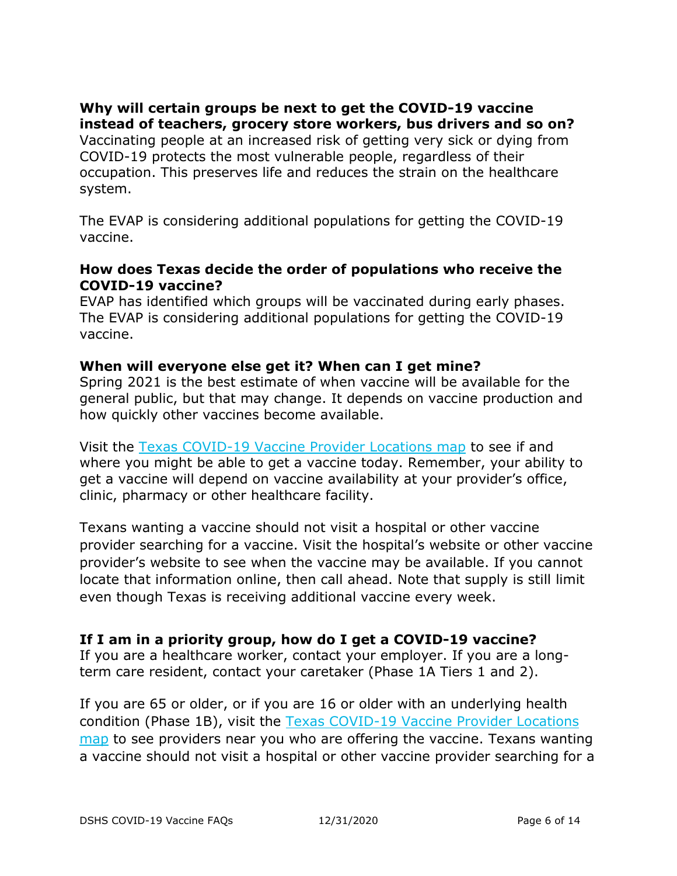## **Why will certain groups be next to get the COVID-19 vaccine instead of teachers, grocery store workers, bus drivers and so on?**

Vaccinating people at an increased risk of getting very sick or dying from COVID-19 protects the most vulnerable people, regardless of their occupation. This preserves life and reduces the strain on the healthcare system.

The EVAP is considering additional populations for getting the COVID-19 vaccine.

#### **How does Texas decide the order of populations who receive the COVID-19 vaccine?**

EVAP has identified which groups will be vaccinated during early phases. The EVAP is considering additional populations for getting the COVID-19 vaccine.

#### **When will everyone else get it? When can I get mine?**

Spring 2021 is the best estimate of when vaccine will be available for the general public, but that may change. It depends on vaccine production and how quickly other vaccines become available.

Visit the Texas [COVID-19](https://txdshs.maps.arcgis.com/apps/webappviewer/index.html?id=91ac7fb5e5fd47e7ada4acfe4a05920a) Vaccine Provider Locations map to see if and where you might be able to get a vaccine today. Remember, your ability to get a vaccine will depend on vaccine availability at your provider's office, clinic, pharmacy or other healthcare facility.

Texans wanting a vaccine should not visit a hospital or other vaccine provider searching for a vaccine. Visit the hospital's website or other vaccine provider's website to see when the vaccine may be available. If you cannot locate that information online, then call ahead. Note that supply is still limit even though Texas is receiving additional vaccine every week.

#### **If I am in a priority group, how do I get a COVID-19 vaccine?**

If you are a healthcare worker, contact your employer. If you are a longterm care resident, contact your caretaker (Phase 1A Tiers 1 and 2).

If you are 65 or older, or if you are 16 or older with an underlying health condition (Phase 1B), visit the [Texas COVID-19 Vaccine Provider Locations](https://txdshs.maps.arcgis.com/apps/webappviewer/index.html?id=91ac7fb5e5fd47e7ada4acfe4a05920a)  [map](https://txdshs.maps.arcgis.com/apps/webappviewer/index.html?id=91ac7fb5e5fd47e7ada4acfe4a05920a) to see providers near you who are offering the vaccine. Texans wanting a vaccine should not visit a hospital or other vaccine provider searching for a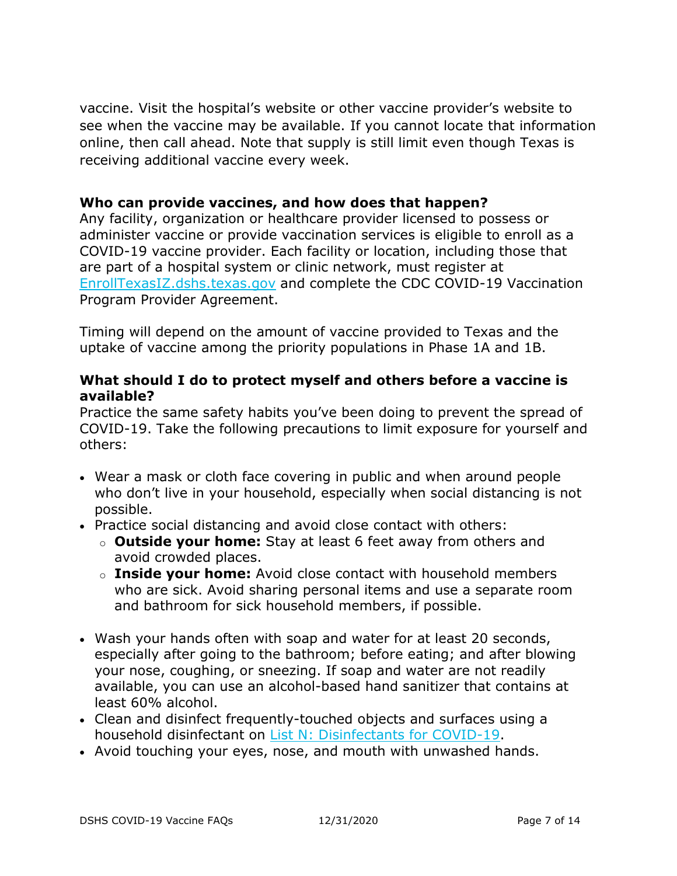vaccine. Visit the hospital's website or other vaccine provider's website to see when the vaccine may be available. If you cannot locate that information online, then call ahead. Note that supply is still limit even though Texas is receiving additional vaccine every week.

#### **Who can provide vaccines, and how does that happen?**

Any facility, organization or healthcare provider licensed to possess or administer vaccine or provide vaccination services is eligible to enroll as a COVID-19 vaccine provider. Each facility or location, including those that are part of a hospital system or clinic network, must register at [EnrollTexasIZ.dshs.texas.gov](https://enrolltexasiz.dshs.texas.gov/emrlogin.asp) and complete the CDC COVID-19 Vaccination Program Provider Agreement.

Timing will depend on the amount of vaccine provided to Texas and the uptake of vaccine among the priority populations in Phase 1A and 1B.

### **What should I do to protect myself and others before a vaccine is available?**

Practice the same safety habits you've been doing to prevent the spread of COVID-19. Take the following precautions to limit exposure for yourself and others:

- Wear a mask or cloth face covering in public and when around people who don't live in your household, especially when social distancing is not possible.
- Practice social distancing and avoid close contact with others:
	- o **Outside your home:** Stay at least 6 feet away from others and avoid crowded places.
	- o **Inside your home:** Avoid close contact with household members who are sick. Avoid sharing personal items and use a separate room and bathroom for sick household members, if possible.
- Wash your hands often with soap and water for at least 20 seconds, especially after going to the bathroom; before eating; and after blowing your nose, coughing, or sneezing. If soap and water are not readily available, you can use an alcohol-based hand sanitizer that contains at least 60% alcohol.
- Clean and disinfect frequently-touched objects and surfaces using a household disinfectant on [List N: Disinfectants for COVID-19.](https://www.epa.gov/pesticide-registration/list-n-disinfectants-coronavirus-covid-19)
- Avoid touching your eyes, nose, and mouth with unwashed hands.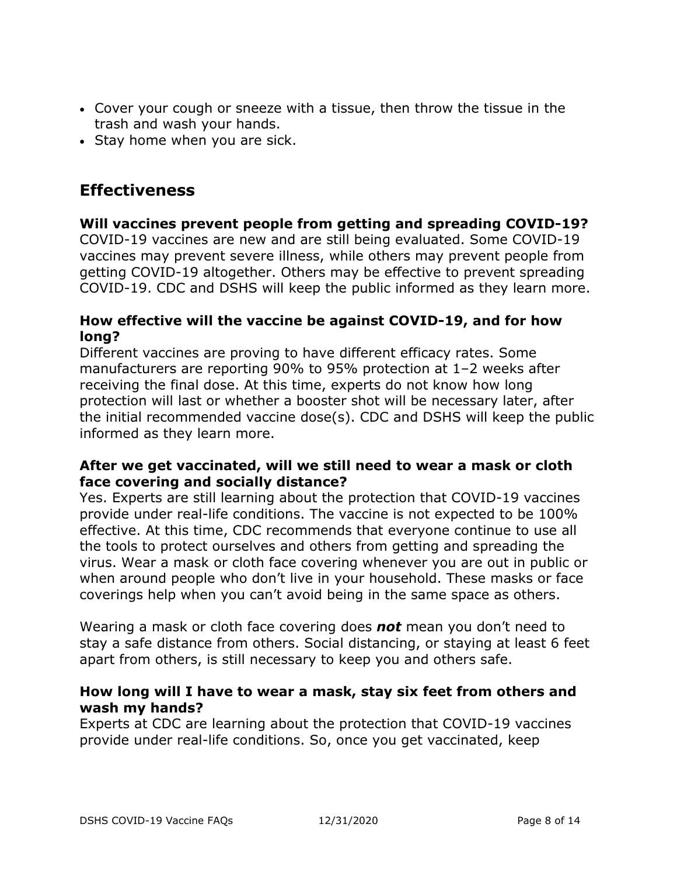- Cover your cough or sneeze with a tissue, then throw the tissue in the trash and wash your hands.
- Stay home when you are sick.

## <span id="page-7-0"></span>**Effectiveness**

## **Will vaccines prevent people from getting and spreading COVID-19?**

COVID-19 vaccines are new and are still being evaluated. Some COVID-19 vaccines may prevent severe illness, while others may prevent people from getting COVID-19 altogether. Others may be effective to prevent spreading COVID-19. CDC and DSHS will keep the public informed as they learn more.

#### **How effective will the vaccine be against COVID-19, and for how long?**

Different vaccines are proving to have different efficacy rates. Some manufacturers are reporting 90% to 95% protection at 1–2 weeks after receiving the final dose. At this time, experts do not know how long protection will last or whether a booster shot will be necessary later, after the initial recommended vaccine dose(s). CDC and DSHS will keep the public informed as they learn more.

#### **After we get vaccinated, will we still need to wear a mask or cloth face covering and socially distance?**

Yes. Experts are still learning about the protection that COVID-19 vaccines provide under real-life conditions. The vaccine is not expected to be 100% effective. At this time, CDC recommends that everyone continue to use all the tools to protect ourselves and others from getting and spreading the virus. Wear a mask or cloth face covering whenever you are out in public or when around people who don't live in your household. These masks or face coverings help when you can't avoid being in the same space as others.

Wearing a mask or cloth face covering does *not* mean you don't need to stay a safe distance from others. Social distancing, or staying at least 6 feet apart from others, is still necessary to keep you and others safe.

#### **How long will I have to wear a mask, stay six feet from others and wash my hands?**

Experts at CDC are learning about the protection that COVID-19 vaccines provide under real-life conditions. So, once you get vaccinated, keep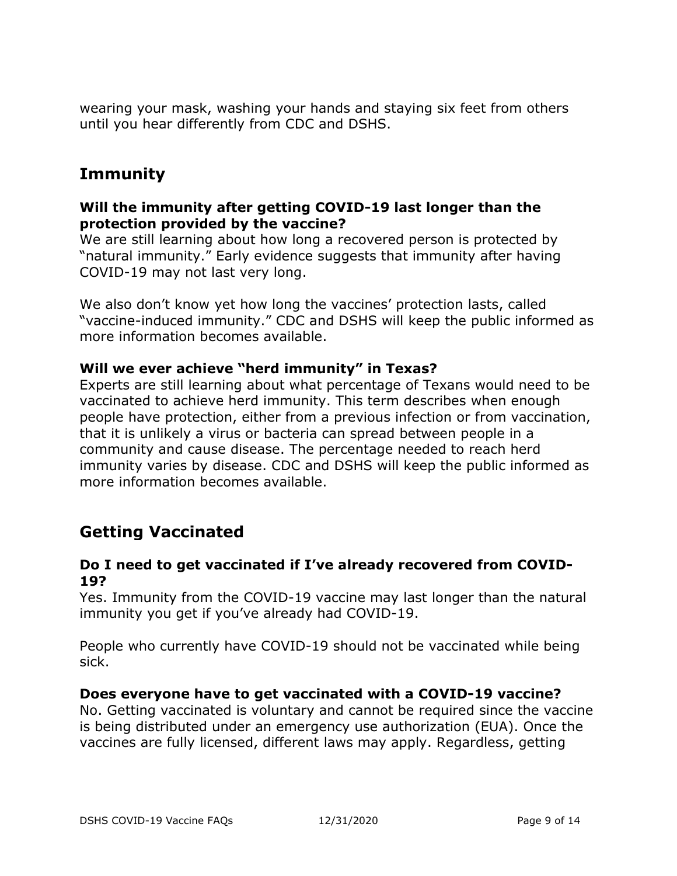wearing your mask, washing your hands and staying six feet from others until you hear differently from CDC and DSHS.

## <span id="page-8-0"></span>**Immunity**

#### **Will the immunity after getting COVID-19 last longer than the protection provided by the vaccine?**

We are still learning about how long a recovered person is protected by "natural immunity." Early evidence suggests that immunity after having COVID-19 may not last very long.

We also don't know yet how long the vaccines' protection lasts, called "vaccine-induced immunity." CDC and DSHS will keep the public informed as more information becomes available.

#### **Will we ever achieve "herd immunity" in Texas?**

Experts are still learning about what percentage of Texans would need to be vaccinated to achieve herd immunity. This term describes when enough people have protection, either from a previous infection or from vaccination, that it is unlikely a virus or bacteria can spread between people in a community and cause disease. The percentage needed to reach herd immunity varies by disease. CDC and DSHS will keep the public informed as more information becomes available.

## <span id="page-8-1"></span>**Getting Vaccinated**

#### **Do I need to get vaccinated if I've already recovered from COVID-19?**

Yes. Immunity from the COVID-19 vaccine may last longer than the natural immunity you get if you've already had COVID-19.

People who currently have COVID-19 should not be vaccinated while being sick.

#### **Does everyone have to get vaccinated with a COVID-19 vaccine?**

No. Getting vaccinated is voluntary and cannot be required since the vaccine is being distributed under an emergency use authorization (EUA). Once the vaccines are fully licensed, different laws may apply. Regardless, getting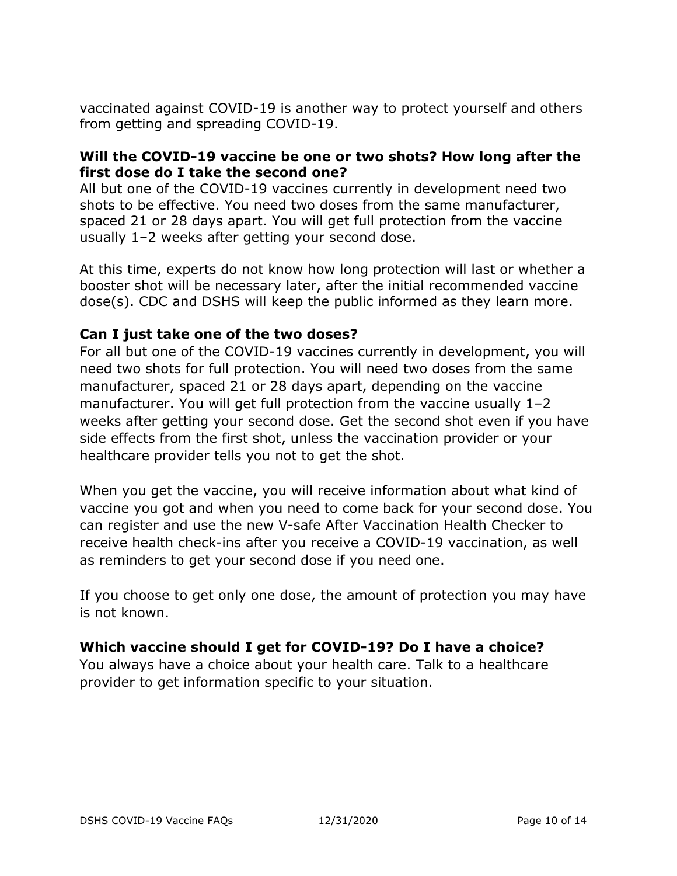vaccinated against COVID-19 is another way to protect yourself and others from getting and spreading COVID-19.

#### **Will the COVID-19 vaccine be one or two shots? How long after the first dose do I take the second one?**

All but one of the COVID-19 vaccines currently in development need two shots to be effective. You need two doses from the same manufacturer, spaced 21 or 28 days apart. You will get full protection from the vaccine usually 1–2 weeks after getting your second dose.

At this time, experts do not know how long protection will last or whether a booster shot will be necessary later, after the initial recommended vaccine dose(s). CDC and DSHS will keep the public informed as they learn more.

### **Can I just take one of the two doses?**

For all but one of the COVID-19 vaccines currently in development, you will need two shots for full protection. You will need two doses from the same manufacturer, spaced 21 or 28 days apart, depending on the vaccine manufacturer. You will get full protection from the vaccine usually 1–2 weeks after getting your second dose. Get the second shot even if you have side effects from the first shot, unless the vaccination provider or your healthcare provider tells you not to get the shot.

When you get the vaccine, you will receive information about what kind of vaccine you got and when you need to come back for your second dose. You can register and use the new V-safe After Vaccination Health Checker to receive health check-ins after you receive a COVID-19 vaccination, as well as reminders to get your second dose if you need one.

If you choose to get only one dose, the amount of protection you may have is not known.

## **Which vaccine should I get for COVID-19? Do I have a choice?**

You always have a choice about your health care. Talk to a healthcare provider to get information specific to your situation.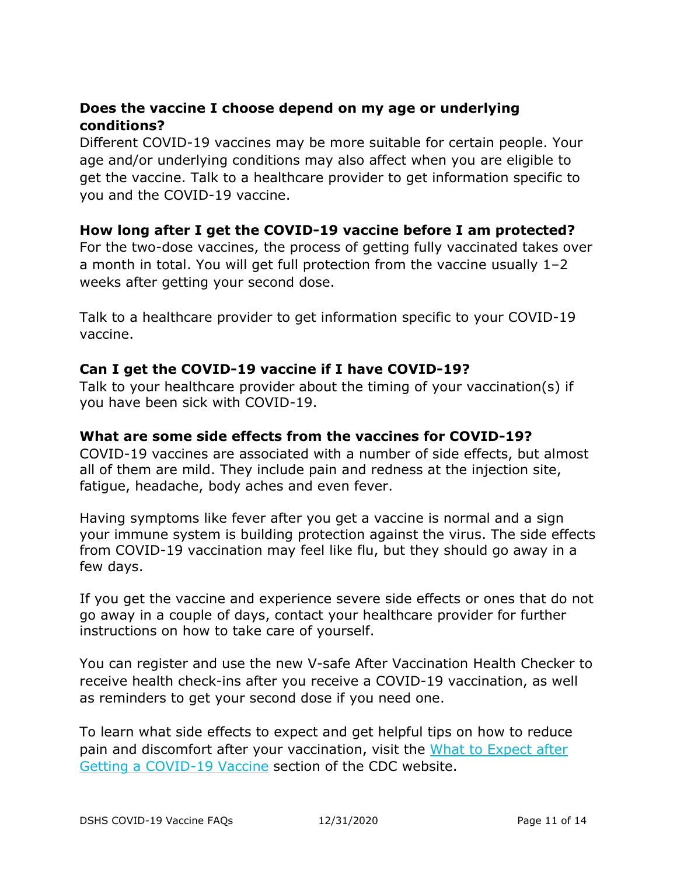## **Does the vaccine I choose depend on my age or underlying conditions?**

Different COVID-19 vaccines may be more suitable for certain people. Your age and/or underlying conditions may also affect when you are eligible to get the vaccine. Talk to a healthcare provider to get information specific to you and the COVID-19 vaccine.

## **How long after I get the COVID-19 vaccine before I am protected?**

For the two-dose vaccines, the process of getting fully vaccinated takes over a month in total. You will get full protection from the vaccine usually 1–2 weeks after getting your second dose.

Talk to a healthcare provider to get information specific to your COVID-19 vaccine.

#### **Can I get the COVID-19 vaccine if I have COVID-19?**

Talk to your healthcare provider about the timing of your vaccination(s) if you have been sick with COVID-19.

#### **What are some side effects from the vaccines for COVID-19?**

COVID-19 vaccines are associated with a number of side effects, but almost all of them are mild. They include pain and redness at the injection site, fatigue, headache, body aches and even fever.

Having symptoms like fever after you get a vaccine is normal and a sign your immune system is building protection against the virus. The side effects from COVID-19 vaccination may feel like flu, but they should go away in a few days.

If you get the vaccine and experience severe side effects or ones that do not go away in a couple of days, contact your healthcare provider for further instructions on how to take care of yourself.

You can register and use the new V-safe After Vaccination Health Checker to receive health check-ins after you receive a COVID-19 vaccination, as well as reminders to get your second dose if you need one.

To learn what side effects to expect and get helpful tips on how to reduce pain and discomfort after your vaccination, visit the [What to Expect after](https://www.cdc.gov/coronavirus/2019-ncov/vaccines/expect/after.html)  [Getting a COVID-19 Vaccine](https://www.cdc.gov/coronavirus/2019-ncov/vaccines/expect/after.html) section of the CDC website.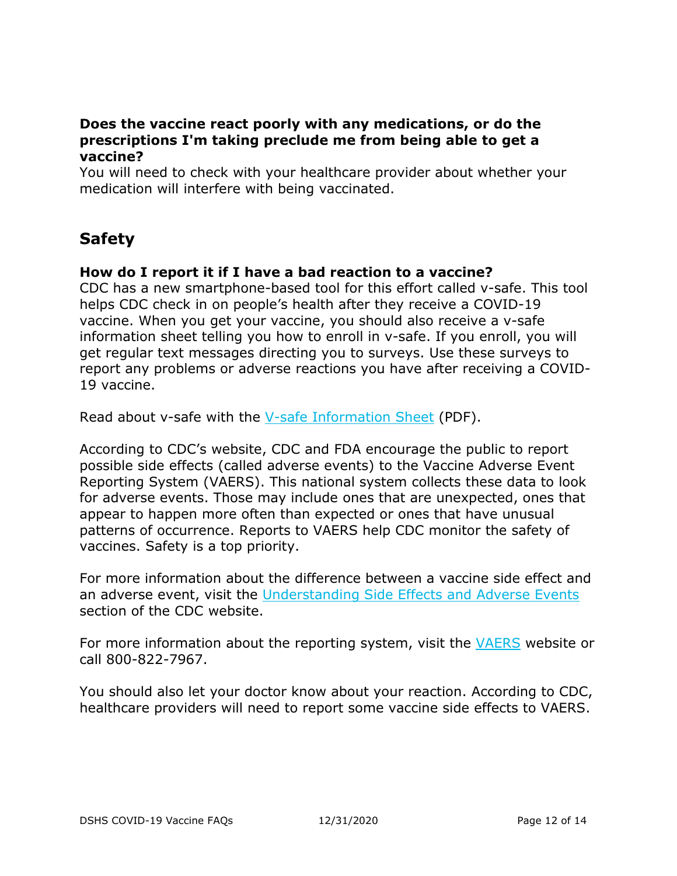#### **Does the vaccine react poorly with any medications, or do the prescriptions I'm taking preclude me from being able to get a vaccine?**

You will need to check with your healthcare provider about whether your medication will interfere with being vaccinated.

# <span id="page-11-0"></span>**Safety**

### **How do I report it if I have a bad reaction to a vaccine?**

CDC has a new smartphone-based tool for this effort called v-safe. This tool helps CDC check in on people's health after they receive a COVID-19 vaccine. When you get your vaccine, you should also receive a v-safe information sheet telling you how to enroll in v-safe. If you enroll, you will get regular text messages directing you to surveys. Use these surveys to report any problems or adverse reactions you have after receiving a COVID-19 vaccine.

Read about v-safe with the [V-safe Information Sheet](https://www.dshs.texas.gov/immunize/covid19/vsafe_info_sheet.pdf) (PDF).

According to CDC's website, CDC and FDA encourage the public to report possible side effects (called adverse events) to the Vaccine Adverse Event Reporting System (VAERS). This national system collects these data to look for adverse events. Those may include ones that are unexpected, ones that appear to happen more often than expected or ones that have unusual patterns of occurrence. Reports to VAERS help CDC monitor the safety of vaccines. Safety is a top priority.

For more information about the difference between a vaccine side effect and an adverse event, visit the [Understanding Side Effects and Adverse Events](https://www.cdc.gov/vaccinesafety/ensuringsafety/sideeffects/index.html) section of the CDC website.

For more information about the reporting system, visit the [VAERS](https://vaers.hhs.gov/) website or call 800-822-7967.

You should also let your doctor know about your reaction. According to CDC, healthcare providers will need to report some vaccine side effects to VAERS.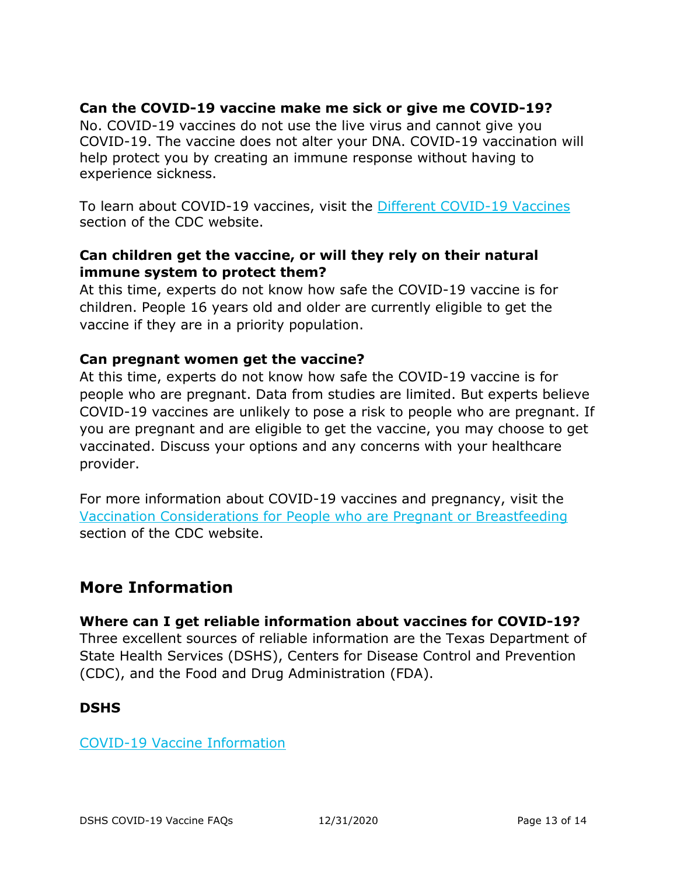## **Can the COVID-19 vaccine make me sick or give me COVID-19?**

No. COVID-19 vaccines do not use the live virus and cannot give you COVID-19. The vaccine does not alter your DNA. COVID-19 vaccination will help protect you by creating an immune response without having to experience sickness.

To learn about COVID-19 vaccines, visit the [Different COVID-19 Vaccines](https://www.cdc.gov/coronavirus/2019-ncov/vaccines/different-vaccines.html) section of the CDC website.

### **Can children get the vaccine, or will they rely on their natural immune system to protect them?**

At this time, experts do not know how safe the COVID-19 vaccine is for children. People 16 years old and older are currently eligible to get the vaccine if they are in a priority population.

### **Can pregnant women get the vaccine?**

At this time, experts do not know how safe the COVID-19 vaccine is for people who are pregnant. Data from studies are limited. But experts believe COVID-19 vaccines are unlikely to pose a risk to people who are pregnant. If you are pregnant and are eligible to get the vaccine, you may choose to get vaccinated. Discuss your options and any concerns with your healthcare provider.

For more information about COVID-19 vaccines and pregnancy, visit the [Vaccination Considerations for People who are Pregnant or Breastfeeding](https://www.cdc.gov/coronavirus/2019-ncov/vaccines/recommendations/pregnancy.html) section of the CDC website.

## <span id="page-12-0"></span>**More Information**

## **Where can I get reliable information about vaccines for COVID-19?**

Three excellent sources of reliable information are the Texas Department of State Health Services (DSHS), Centers for Disease Control and Prevention (CDC), and the Food and Drug Administration (FDA).

#### **DSHS**

[COVID-19 Vaccine Information](https://www.dshs.texas.gov/coronavirus/immunize/vaccine.aspx)